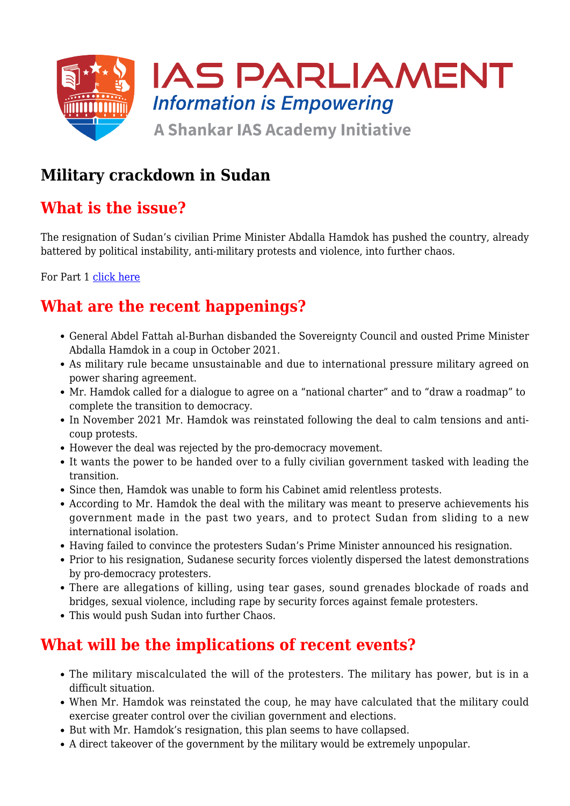

# **Military crackdown in Sudan**

# **What is the issue?**

The resignation of Sudan's civilian Prime Minister Abdalla Hamdok has pushed the country, already battered by political instability, anti-military protests and violence, into further chaos.

For Part 1 [click here](https://www.iasparliament.com/current-affairs/coup-in-sudan)

# **What are the recent happenings?**

- General Abdel Fattah al-Burhan disbanded the Sovereignty Council and ousted Prime Minister Abdalla Hamdok in a coup in October 2021.
- As military rule became unsustainable and due to international pressure military agreed on power sharing agreement.
- Mr. Hamdok called for a dialogue to agree on a "national charter" and to "draw a roadmap" to complete the transition to democracy.
- In November 2021 Mr. Hamdok was reinstated following the deal to calm tensions and anticoup protests.
- However the deal was rejected by the pro-democracy movement.
- It wants the power to be handed over to a fully civilian government tasked with leading the transition.
- Since then, Hamdok was unable to form his Cabinet amid relentless protests.
- According to Mr. Hamdok the deal with the military was meant to preserve achievements his government made in the past two years, and to protect Sudan from sliding to a new international isolation.
- Having failed to convince the protesters Sudan's Prime Minister announced his resignation.
- Prior to his resignation, Sudanese security forces violently dispersed the latest demonstrations by pro-democracy protesters.
- There are allegations of killing, using tear gases, sound grenades blockade of roads and bridges, sexual violence, including rape by security forces against female protesters.
- This would push Sudan into further Chaos.

## **What will be the implications of recent events?**

- The military miscalculated the will of the protesters. The military has power, but is in a difficult situation.
- When Mr. Hamdok was reinstated the coup, he may have calculated that the military could exercise greater control over the civilian government and elections.
- But with Mr. Hamdok's resignation, this plan seems to have collapsed.
- A direct takeover of the government by the military would be extremely unpopular.